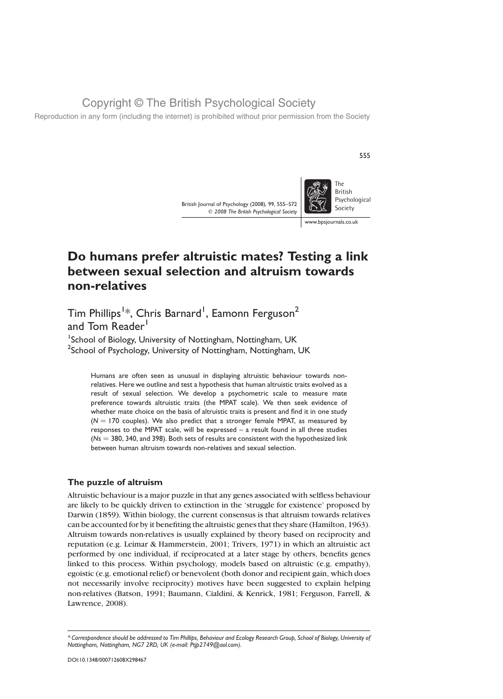Reproduction in any form (including the internet) is prohibited without prior permission from the Society

British Journal of Psychology (2008), 99, 555–572  $©$  2008 The British Psychological Society



555

www.bpsjournals.co.uk

# Do humans prefer altruistic mates? Testing a link between sexual selection and altruism towards non-relatives

Tim Phillips $^{1\ast}$ , Chris Barnard $^{1}$ , Eamonn Ferguson $^{2}$ and Tom Reader<sup>1</sup>

<sup>1</sup>School of Biology, University of Nottingham, Nottingham, UK <sup>2</sup>School of Psychology, University of Nottingham, Nottingham, UK

Humans are often seen as unusual in displaying altruistic behaviour towards nonrelatives. Here we outline and test a hypothesis that human altruistic traits evolved as a result of sexual selection. We develop a psychometric scale to measure mate preference towards altruistic traits (the MPAT scale). We then seek evidence of whether mate choice on the basis of altruistic traits is present and find it in one study  $(N = 170$  couples). We also predict that a stronger female MPAT, as measured by responses to the MPAT scale, will be expressed – a result found in all three studies  $(Ns = 380, 340,$  and 398). Both sets of results are consistent with the hypothesized link between human altruism towards non-relatives and sexual selection.

## The puzzle of altruism

Altruistic behaviour is a major puzzle in that any genes associated with selfless behaviour are likely to be quickly driven to extinction in the 'struggle for existence' proposed by Darwin (1859). Within biology, the current consensus is that altruism towards relatives can be accounted for by it benefiting the altruistic genes that they share (Hamilton, 1963). Altruism towards non-relatives is usually explained by theory based on reciprocity and reputation (e.g. Leimar & Hammerstein, 2001; Trivers, 1971) in which an altruistic act performed by one individual, if reciprocated at a later stage by others, benefits genes linked to this process. Within psychology, models based on altruistic (e.g. empathy), egoistic (e.g. emotional relief) or benevolent (both donor and recipient gain, which does not necessarily involve reciprocity) motives have been suggested to explain helping non-relatives (Batson, 1991; Baumann, Cialdini, & Kenrick, 1981; Ferguson, Farrell, & Lawrence, 2008).

<sup>\*</sup> Correspondence should be addressed to Tim Phillips, Behaviour and Ecology Research Group, School of Biology, University of Nottingham, Nottingham, NG7 2RD, UK (e-mail: Ptjp2749@aol.com).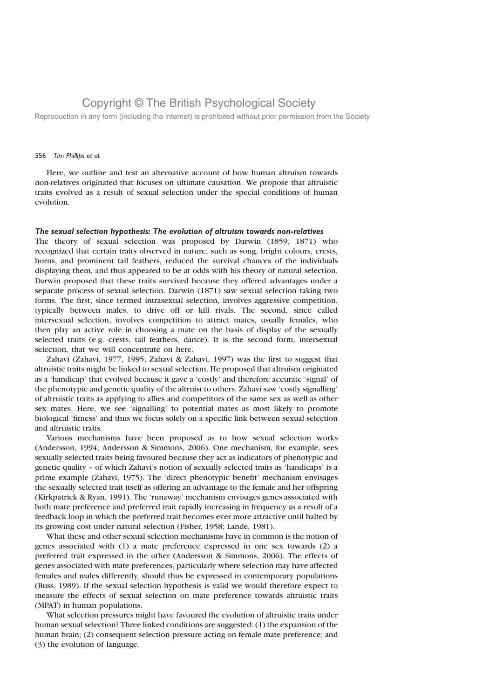Reproduction in any form (including the internet) is prohibited without prior permission from the Society

#### 556 Tim Phillips et al.

Here, we outline and test an alternative account of how human altruism towards non-relatives originated that focuses on ultimate causation. We propose that altruistic traits evolved as a result of sexual selection under the special conditions of human evolution.

#### The sexual selection hypothesis: The evolution of altruism towards non-relatives

The theory of sexual selection was proposed by Darwin (1859, 1871) who recognized that certain traits observed in nature, such as song, bright colours, crests, horns, and prominent tail feathers, reduced the survival chances of the individuals displaying them, and thus appeared to be at odds with his theory of natural selection. Darwin proposed that these traits survived because they offered advantages under a separate process of sexual selection. Darwin (1871) saw sexual selection taking two forms. The first, since termed intrasexual selection, involves aggressive competition, typically between males, to drive off or kill rivals. The second, since called intersexual selection, involves competition to attract mates, usually females, who then play an active role in choosing a mate on the basis of display of the sexually selected traits (e.g. crests, tail feathers, dance). It is the second form, intersexual selection, that we will concentrate on here.

Zahavi (Zahavi, 1977, 1995; Zahavi & Zahavi, 1997) was the first to suggest that altruistic traits might be linked to sexual selection. He proposed that altruism originated as a 'handicap' that evolved because it gave a 'costly' and therefore accurate 'signal' of the phenotypic and genetic quality of the altruist to others. Zahavi saw 'costly signalling' of altruistic traits as applying to allies and competitors of the same sex as well as other sex mates. Here, we see 'signalling' to potential mates as most likely to promote biological 'fitness' and thus we focus solely on a specific link between sexual selection and altruistic traits.

Various mechanisms have been proposed as to how sexual selection works (Andersson, 1994; Andersson & Simmons, 2006). One mechanism, for example, sees sexually selected traits being favoured because they act as indicators of phenotypic and genetic quality – of which Zahavi's notion of sexually selected traits as 'handicaps' is a prime example (Zahavi, 1975). The 'direct phenotypic benefit' mechanism envisages the sexually selected trait itself as offering an advantage to the female and her offspring (Kirkpatrick & Ryan, 1991). The 'runaway' mechanism envisages genes associated with both mate preference and preferred trait rapidly increasing in frequency as a result of a feedback loop in which the preferred trait becomes ever more attractive until halted by its growing cost under natural selection (Fisher, 1958; Lande, 1981).

What these and other sexual selection mechanisms have in common is the notion of genes associated with (1) a mate preference expressed in one sex towards (2) a preferred trait expressed in the other (Andersson & Simmons, 2006). The effects of genes associated with mate preferences, particularly where selection may have affected females and males differently, should thus be expressed in contemporary populations (Buss, 1989). If the sexual selection hypothesis is valid we would therefore expect to measure the effects of sexual selection on mate preference towards altruistic traits (MPAT) in human populations.

What selection pressures might have favoured the evolution of altruistic traits under human sexual selection? Three linked conditions are suggested: (1) the expansion of the human brain; (2) consequent selection pressure acting on female mate preference; and (3) the evolution of language.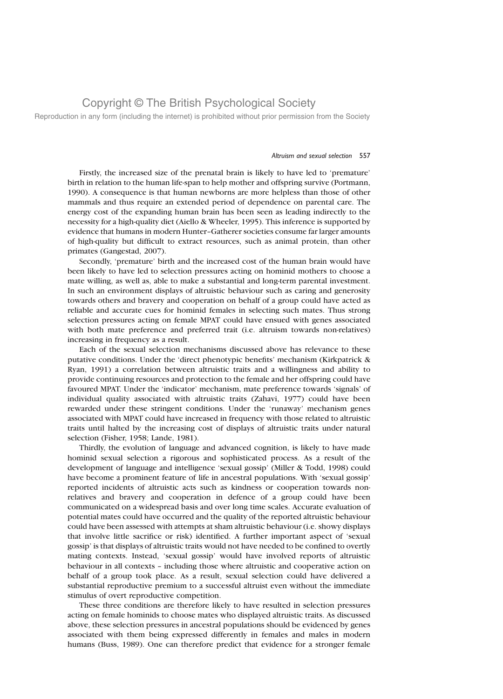Reproduction in any form (including the internet) is prohibited without prior permission from the Society

#### Altruism and sexual selection 557

Firstly, the increased size of the prenatal brain is likely to have led to 'premature' birth in relation to the human life-span to help mother and offspring survive (Portmann, 1990). A consequence is that human newborns are more helpless than those of other mammals and thus require an extended period of dependence on parental care. The energy cost of the expanding human brain has been seen as leading indirectly to the necessity for a high-quality diet (Aiello & Wheeler, 1995). This inference is supported by evidence that humans in modern Hunter–Gatherer societies consume far larger amounts of high-quality but difficult to extract resources, such as animal protein, than other primates (Gangestad, 2007).

Secondly, 'premature' birth and the increased cost of the human brain would have been likely to have led to selection pressures acting on hominid mothers to choose a mate willing, as well as, able to make a substantial and long-term parental investment. In such an environment displays of altruistic behaviour such as caring and generosity towards others and bravery and cooperation on behalf of a group could have acted as reliable and accurate cues for hominid females in selecting such mates. Thus strong selection pressures acting on female MPAT could have ensued with genes associated with both mate preference and preferred trait (i.e. altruism towards non-relatives) increasing in frequency as a result.

Each of the sexual selection mechanisms discussed above has relevance to these putative conditions. Under the 'direct phenotypic benefits' mechanism (Kirkpatrick & Ryan, 1991) a correlation between altruistic traits and a willingness and ability to provide continuing resources and protection to the female and her offspring could have favoured MPAT. Under the 'indicator' mechanism, mate preference towards 'signals' of individual quality associated with altruistic traits (Zahavi, 1977) could have been rewarded under these stringent conditions. Under the 'runaway' mechanism genes associated with MPAT could have increased in frequency with those related to altruistic traits until halted by the increasing cost of displays of altruistic traits under natural selection (Fisher, 1958; Lande, 1981).

Thirdly, the evolution of language and advanced cognition, is likely to have made hominid sexual selection a rigorous and sophisticated process. As a result of the development of language and intelligence 'sexual gossip' (Miller & Todd, 1998) could have become a prominent feature of life in ancestral populations. With 'sexual gossip' reported incidents of altruistic acts such as kindness or cooperation towards nonrelatives and bravery and cooperation in defence of a group could have been communicated on a widespread basis and over long time scales. Accurate evaluation of potential mates could have occurred and the quality of the reported altruistic behaviour could have been assessed with attempts at sham altruistic behaviour (i.e. showy displays that involve little sacrifice or risk) identified. A further important aspect of 'sexual gossip' is that displays of altruistic traits would not have needed to be confined to overtly mating contexts. Instead, 'sexual gossip' would have involved reports of altruistic behaviour in all contexts – including those where altruistic and cooperative action on behalf of a group took place. As a result, sexual selection could have delivered a substantial reproductive premium to a successful altruist even without the immediate stimulus of overt reproductive competition.

These three conditions are therefore likely to have resulted in selection pressures acting on female hominids to choose mates who displayed altruistic traits. As discussed above, these selection pressures in ancestral populations should be evidenced by genes associated with them being expressed differently in females and males in modern humans (Buss, 1989). One can therefore predict that evidence for a stronger female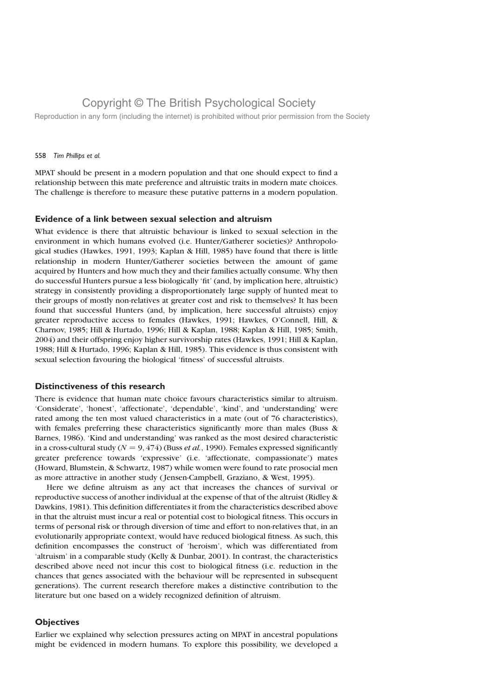Reproduction in any form (including the internet) is prohibited without prior permission from the Society

### 558 Tim Phillips et al.

MPAT should be present in a modern population and that one should expect to find a relationship between this mate preference and altruistic traits in modern mate choices. The challenge is therefore to measure these putative patterns in a modern population.

### Evidence of a link between sexual selection and altruism

What evidence is there that altruistic behaviour is linked to sexual selection in the environment in which humans evolved (i.e. Hunter/Gatherer societies)? Anthropological studies (Hawkes, 1991, 1993; Kaplan & Hill, 1985) have found that there is little relationship in modern Hunter/Gatherer societies between the amount of game acquired by Hunters and how much they and their families actually consume. Why then do successful Hunters pursue a less biologically 'fit' (and, by implication here, altruistic) strategy in consistently providing a disproportionately large supply of hunted meat to their groups of mostly non-relatives at greater cost and risk to themselves? It has been found that successful Hunters (and, by implication, here successful altruists) enjoy greater reproductive access to females (Hawkes, 1991; Hawkes, O'Connell, Hill, & Charnov, 1985; Hill & Hurtado, 1996; Hill & Kaplan, 1988; Kaplan & Hill, 1985; Smith, 2004) and their offspring enjoy higher survivorship rates (Hawkes, 1991; Hill & Kaplan, 1988; Hill & Hurtado, 1996; Kaplan & Hill, 1985). This evidence is thus consistent with sexual selection favouring the biological 'fitness' of successful altruists.

## Distinctiveness of this research

There is evidence that human mate choice favours characteristics similar to altruism. 'Considerate', 'honest', 'affectionate', 'dependable', 'kind', and 'understanding' were rated among the ten most valued characteristics in a mate (out of 76 characteristics), with females preferring these characteristics significantly more than males (Buss & Barnes, 1986). 'Kind and understanding' was ranked as the most desired characteristic in a cross-cultural study ( $N = 9,474$ ) (Buss et al., 1990). Females expressed significantly greater preference towards 'expressive' (i.e. 'affectionate, compassionate') mates (Howard, Blumstein, & Schwartz, 1987) while women were found to rate prosocial men as more attractive in another study ( Jensen-Campbell, Graziano, & West, 1995).

Here we define altruism as any act that increases the chances of survival or reproductive success of another individual at the expense of that of the altruist (Ridley & Dawkins, 1981). This definition differentiates it from the characteristics described above in that the altruist must incur a real or potential cost to biological fitness. This occurs in terms of personal risk or through diversion of time and effort to non-relatives that, in an evolutionarily appropriate context, would have reduced biological fitness. As such, this definition encompasses the construct of 'heroism', which was differentiated from 'altruism' in a comparable study (Kelly & Dunbar, 2001). In contrast, the characteristics described above need not incur this cost to biological fitness (i.e. reduction in the chances that genes associated with the behaviour will be represented in subsequent generations). The current research therefore makes a distinctive contribution to the literature but one based on a widely recognized definition of altruism.

## **Objectives**

Earlier we explained why selection pressures acting on MPAT in ancestral populations might be evidenced in modern humans. To explore this possibility, we developed a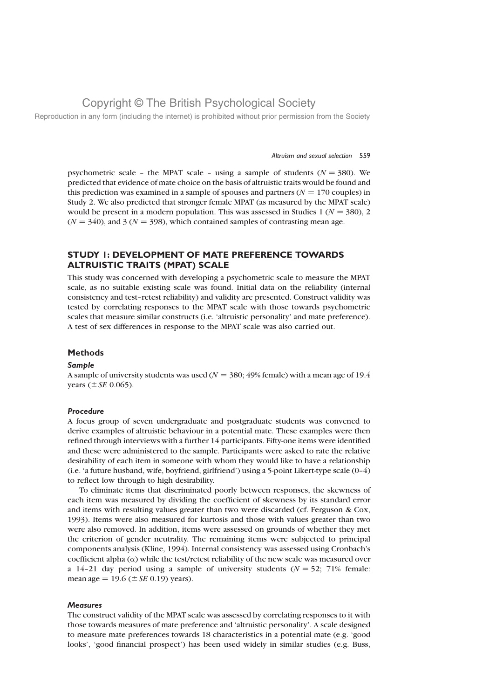Reproduction in any form (including the internet) is prohibited without prior permission from the Society

#### Altruism and sexual selection 559

psychometric scale - the MPAT scale - using a sample of students ( $N = 380$ ). We predicted that evidence of mate choice on the basis of altruistic traits would be found and this prediction was examined in a sample of spouses and partners ( $N = 170$  couples) in Study 2. We also predicted that stronger female MPAT (as measured by the MPAT scale) would be present in a modern population. This was assessed in Studies 1 ( $N = 380$ ), 2  $(N = 340)$ , and 3 ( $N = 398$ ), which contained samples of contrasting mean age.

## STUDY 1: DEVELOPMENT OF MATE PREFERENCE TOWARDS ALTRUISTIC TRAITS (MPAT) SCALE

This study was concerned with developing a psychometric scale to measure the MPAT scale, as no suitable existing scale was found. Initial data on the reliability (internal consistency and test–retest reliability) and validity are presented. Construct validity was tested by correlating responses to the MPAT scale with those towards psychometric scales that measure similar constructs (i.e. 'altruistic personality' and mate preference). A test of sex differences in response to the MPAT scale was also carried out.

## Methods

#### Sample

A sample of university students was used ( $N = 380; 49\%$  female) with a mean age of 19.4 years  $(\pm SE 0.065)$ .

### Procedure

A focus group of seven undergraduate and postgraduate students was convened to derive examples of altruistic behaviour in a potential mate. These examples were then refined through interviews with a further 14 participants. Fifty-one items were identified and these were administered to the sample. Participants were asked to rate the relative desirability of each item in someone with whom they would like to have a relationship (i.e. 'a future husband, wife, boyfriend, girlfriend') using a 5-point Likert-type scale (0–4) to reflect low through to high desirability.

To eliminate items that discriminated poorly between responses, the skewness of each item was measured by dividing the coefficient of skewness by its standard error and items with resulting values greater than two were discarded (cf. Ferguson & Cox, 1993). Items were also measured for kurtosis and those with values greater than two were also removed. In addition, items were assessed on grounds of whether they met the criterion of gender neutrality. The remaining items were subjected to principal components analysis (Kline, 1994). Internal consistency was assessed using Cronbach's coefficient alpha  $(\alpha)$  while the test/retest reliability of the new scale was measured over a 14–21 day period using a sample of university students  $(N = 52; 71\%)$  female: mean age = 19.6 ( $\pm$  *SE* 0.19) years).

#### **Measures**

The construct validity of the MPAT scale was assessed by correlating responses to it with those towards measures of mate preference and 'altruistic personality'. A scale designed to measure mate preferences towards 18 characteristics in a potential mate (e.g. 'good looks', 'good financial prospect') has been used widely in similar studies (e.g. Buss,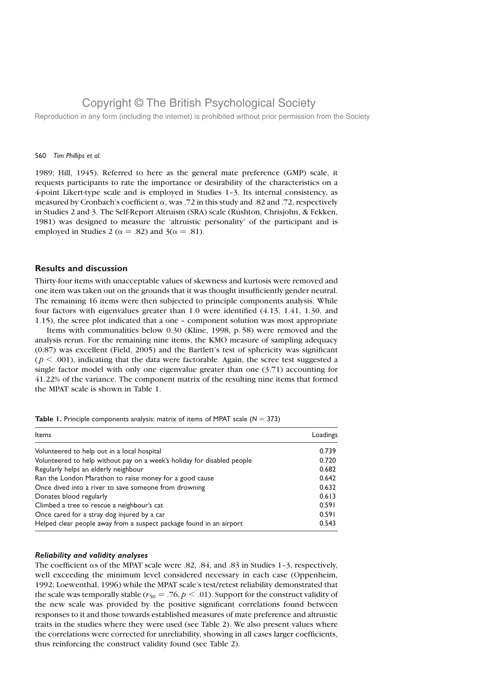Reproduction in any form (including the internet) is prohibited without prior permission from the Society

#### 560 Tim Phillips et al.

1989; Hill, 1945). Referred to here as the general mate preference (GMP) scale, it requests participants to rate the importance or desirability of the characteristics on a 4-point Likert-type scale and is employed in Studies 1–3. Its internal consistency, as measured by Cronbach's coefficient  $\alpha$ , was .72 in this study and .82 and .72, respectively in Studies 2 and 3. The Self-Report Altruism (SRA) scale (Rushton, Chrisjohn, & Fekken, 1981) was designed to measure the 'altruistic personality' of the participant and is employed in Studies 2 ( $\alpha = .82$ ) and 3( $\alpha = .81$ ).

## Results and discussion

Thirty-four items with unacceptable values of skewness and kurtosis were removed and one item was taken out on the grounds that it was thought insufficiently gender neutral. The remaining 16 items were then subjected to principle components analysis. While four factors with eigenvalues greater than 1.0 were identified (4.13, 1.41, 1.30, and 1.15), the scree plot indicated that a one – component solution was most appropriate

Items with communalities below 0.30 (Kline, 1998, p. 58) were removed and the analysis rerun. For the remaining nine items, the KMO measure of sampling adequacy (0.87) was excellent (Field, 2005) and the Bartlett's test of sphericity was significant  $(p < .001)$ , indicating that the data were factorable. Again, the scree test suggested a single factor model with only one eigenvalue greater than one (3.71) accounting for 41.22% of the variance. The component matrix of the resulting nine items that formed the MPAT scale is shown in Table 1.

| Items                                                                   | Loadings |
|-------------------------------------------------------------------------|----------|
| Volunteered to help out in a local hospital                             | 0.739    |
| Volunteered to help without pay on a week's holiday for disabled people | 0.720    |
| Regularly helps an elderly neighbour                                    | 0.682    |
| Ran the London Marathon to raise money for a good cause                 | 0.642    |
| Once dived into a river to save someone from drowning                   | 0.632    |
| Donates blood regularly                                                 | 0.613    |
| Climbed a tree to rescue a neighbour's cat                              | 0.591    |
| Once cared for a stray dog injured by a car                             | 0.591    |
| Helped clear people away from a suspect package found in an airport     | 0.543    |

**Table 1.** Principle components analysis: matrix of items of MPAT scale ( $N = 373$ )

## Reliability and validity analyses

The coefficient  $\alpha$ s of the MPAT scale were .82, .84, and .83 in Studies 1-3, respectively, well exceeding the minimum level considered necessary in each case (Oppenheim, 1992; Loewenthal, 1996) while the MPAT scale's test/retest reliability demonstrated that the scale was temporally stable ( $r_{50} = .76$ ,  $p < .01$ ). Support for the construct validity of the new scale was provided by the positive significant correlations found between responses to it and those towards established measures of mate preference and altruistic traits in the studies where they were used (see Table 2). We also present values where the correlations were corrected for unreliability, showing in all cases larger coefficients, thus reinforcing the construct validity found (see Table 2).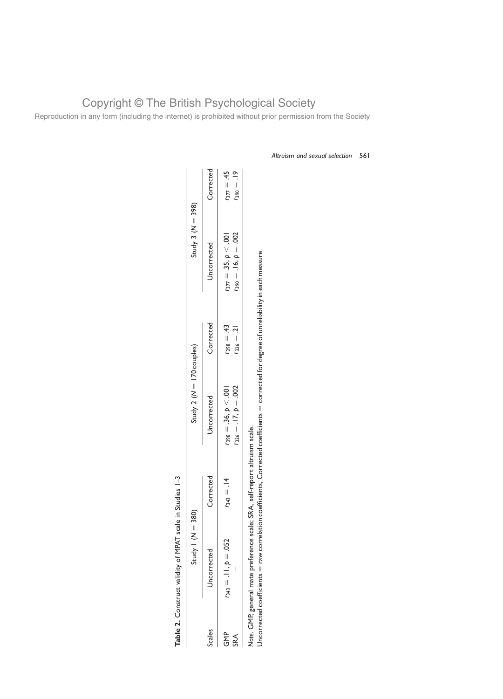|                 | Table 2. Construct validity of MPAT | scale in Studies 1-3 |                                                        |                                    |                                                        |                                    |
|-----------------|-------------------------------------|----------------------|--------------------------------------------------------|------------------------------------|--------------------------------------------------------|------------------------------------|
|                 | N – Apris                           | $= 380$              | Study 2 ( $N = 170$ couples)                           |                                    | Study 3 ( $N = 398$ )                                  |                                    |
| Scales          | Uncorrected                         | Corrected            | Jncorrected                                            | Corrected                          | Uncorrected                                            | Corrected                          |
| 운<br>GMP<br>SRA | $r_{343} = .11, p = .052$           | $r_{343} = .14$      | $r_{326} = .17, p = .002$<br>$r_{298} = .36, p < .001$ | $r_{298} = .43$<br>$r_{326} = .21$ | $r_{377} = .35, p < .001$<br>$r_{390} = .16, p = .002$ | $r_{377} = .45$<br>$F_{390} = .19$ |
|                 |                                     |                      |                                                        |                                    |                                                        |                                    |

Note. GMP, general mate preference scale; SRA, self-report altruism scale.

raw correlation coefficients, Corrected coefficients

 $=$  corrected for degree of unreliability in each measure.

Uncorrected coefficients

Copyright © The British Psychological Society Reproduction in any form (including the internet) is prohibited without prior permission from the Society

Table 2. Construct validity of MPAT scale in Studies 1-3

Altruism and sexual selection 561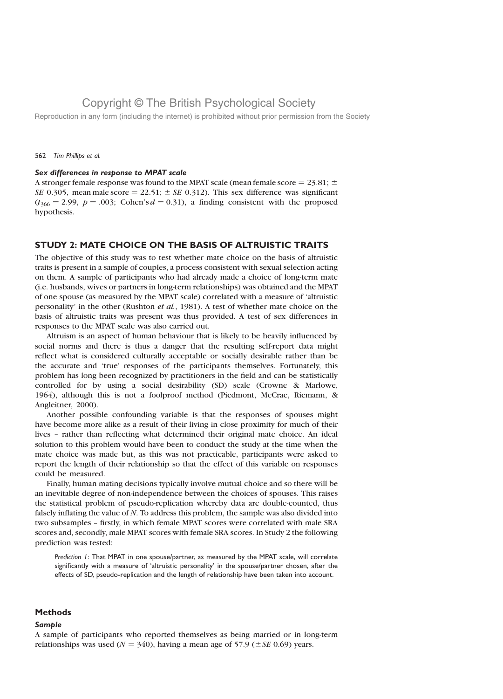Reproduction in any form (including the internet) is prohibited without prior permission from the Society

#### 562 Tim Phillips et al.

### Sex differences in response to MPAT scale

A stronger female response was found to the MPAT scale (mean female score = 23.81;  $\pm$ SE 0.305, mean male score = 22.51;  $\pm$  SE 0.312). This sex difference was significant  $(t_{366} = 2.99, p = .003; \text{ Cohen's } d = 0.31)$ , a finding consistent with the proposed hypothesis.

## STUDY 2: MATE CHOICE ON THE BASIS OF ALTRUISTIC TRAITS

The objective of this study was to test whether mate choice on the basis of altruistic traits is present in a sample of couples, a process consistent with sexual selection acting on them. A sample of participants who had already made a choice of long-term mate (i.e. husbands, wives or partners in long-term relationships) was obtained and the MPAT of one spouse (as measured by the MPAT scale) correlated with a measure of 'altruistic personality' in the other (Rushton et al., 1981). A test of whether mate choice on the basis of altruistic traits was present was thus provided. A test of sex differences in responses to the MPAT scale was also carried out.

Altruism is an aspect of human behaviour that is likely to be heavily influenced by social norms and there is thus a danger that the resulting self-report data might reflect what is considered culturally acceptable or socially desirable rather than be the accurate and 'true' responses of the participants themselves. Fortunately, this problem has long been recognized by practitioners in the field and can be statistically controlled for by using a social desirability (SD) scale (Crowne & Marlowe, 1964), although this is not a foolproof method (Piedmont, McCrae, Riemann, & Angleitner, 2000).

Another possible confounding variable is that the responses of spouses might have become more alike as a result of their living in close proximity for much of their lives – rather than reflecting what determined their original mate choice. An ideal solution to this problem would have been to conduct the study at the time when the mate choice was made but, as this was not practicable, participants were asked to report the length of their relationship so that the effect of this variable on responses could be measured.

Finally, human mating decisions typically involve mutual choice and so there will be an inevitable degree of non-independence between the choices of spouses. This raises the statistical problem of pseudo-replication whereby data are double-counted, thus falsely inflating the value of N. To address this problem, the sample was also divided into two subsamples – firstly, in which female MPAT scores were correlated with male SRA scores and, secondly, male MPAT scores with female SRA scores. In Study 2 the following prediction was tested:

Prediction 1: That MPAT in one spouse/partner, as measured by the MPAT scale, will correlate significantly with a measure of 'altruistic personality' in the spouse/partner chosen, after the effects of SD, pseudo-replication and the length of relationship have been taken into account.

### **Methods**

### Sample

A sample of participants who reported themselves as being married or in long-term relationships was used ( $N = 340$ ), having a mean age of 57.9 ( $\pm$  SE 0.69) years.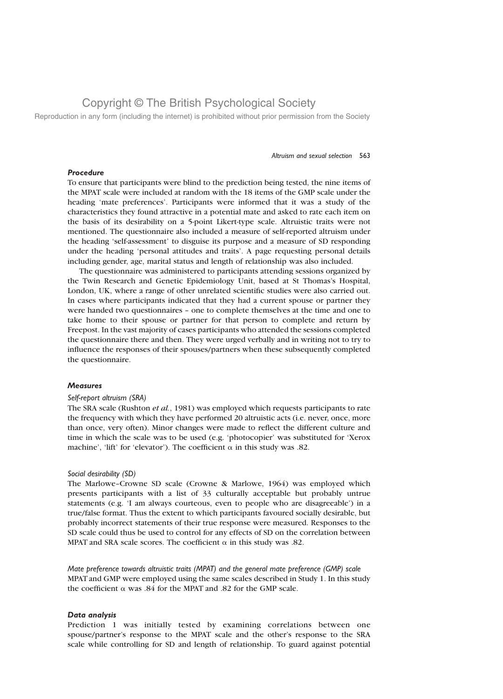Reproduction in any form (including the internet) is prohibited without prior permission from the Society

#### Altruism and sexual selection 563

### Procedure

To ensure that participants were blind to the prediction being tested, the nine items of the MPAT scale were included at random with the 18 items of the GMP scale under the heading 'mate preferences'. Participants were informed that it was a study of the characteristics they found attractive in a potential mate and asked to rate each item on the basis of its desirability on a 5-point Likert-type scale. Altruistic traits were not mentioned. The questionnaire also included a measure of self-reported altruism under the heading 'self-assessment' to disguise its purpose and a measure of SD responding under the heading 'personal attitudes and traits'. A page requesting personal details including gender, age, marital status and length of relationship was also included.

The questionnaire was administered to participants attending sessions organized by the Twin Research and Genetic Epidemiology Unit, based at St Thomas's Hospital, London, UK, where a range of other unrelated scientific studies were also carried out. In cases where participants indicated that they had a current spouse or partner they were handed two questionnaires – one to complete themselves at the time and one to take home to their spouse or partner for that person to complete and return by Freepost. In the vast majority of cases participants who attended the sessions completed the questionnaire there and then. They were urged verbally and in writing not to try to influence the responses of their spouses/partners when these subsequently completed the questionnaire.

### **Measures**

#### Self-report altruism (SRA)

The SRA scale (Rushton et al., 1981) was employed which requests participants to rate the frequency with which they have performed 20 altruistic acts (i.e. never, once, more than once, very often). Minor changes were made to reflect the different culture and time in which the scale was to be used (e.g. 'photocopier' was substituted for 'Xerox machine', 'lift' for 'elevator'). The coefficient  $\alpha$  in this study was .82.

#### Social desirability (SD)

The Marlowe–Crowne SD scale (Crowne & Marlowe, 1964) was employed which presents participants with a list of 33 culturally acceptable but probably untrue statements (e.g. 'I am always courteous, even to people who are disagreeable') in a true/false format. Thus the extent to which participants favoured socially desirable, but probably incorrect statements of their true response were measured. Responses to the SD scale could thus be used to control for any effects of SD on the correlation between MPAT and SRA scale scores. The coefficient  $\alpha$  in this study was .82.

Mate preference towards altruistic traits (MPAT) and the general mate preference (GMP) scale MPAT and GMP were employed using the same scales described in Study 1. In this study the coefficient  $\alpha$  was .84 for the MPAT and .82 for the GMP scale.

## Data analysis

Prediction 1 was initially tested by examining correlations between one spouse/partner's response to the MPAT scale and the other's response to the SRA scale while controlling for SD and length of relationship. To guard against potential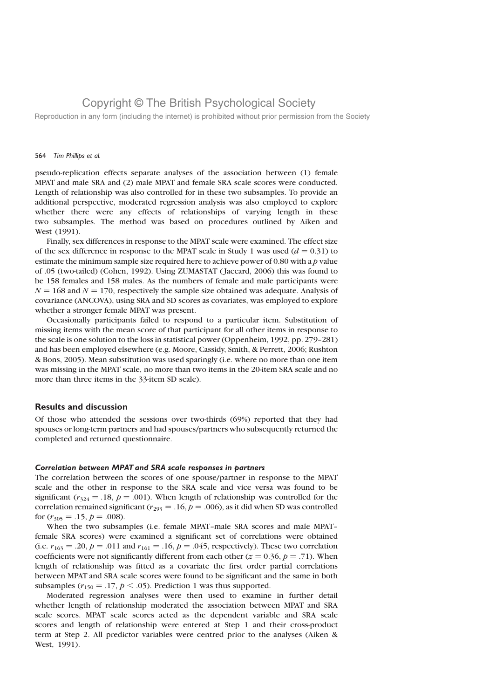Reproduction in any form (including the internet) is prohibited without prior permission from the Society

#### 564 Tim Phillips et al.

pseudo-replication effects separate analyses of the association between (1) female MPAT and male SRA and (2) male MPAT and female SRA scale scores were conducted. Length of relationship was also controlled for in these two subsamples. To provide an additional perspective, moderated regression analysis was also employed to explore whether there were any effects of relationships of varying length in these two subsamples. The method was based on procedures outlined by Aiken and West (1991).

Finally, sex differences in response to the MPAT scale were examined. The effect size of the sex difference in response to the MPAT scale in Study 1 was used  $(d = 0.31)$  to estimate the minimum sample size required here to achieve power of  $0.80$  with a p value of .05 (two-tailed) (Cohen, 1992). Using ZUMASTAT ( Jaccard, 2006) this was found to be 158 females and 158 males. As the numbers of female and male participants were  $N = 168$  and  $N = 170$ , respectively the sample size obtained was adequate. Analysis of covariance (ANCOVA), using SRA and SD scores as covariates, was employed to explore whether a stronger female MPAT was present.

Occasionally participants failed to respond to a particular item. Substitution of missing items with the mean score of that participant for all other items in response to the scale is one solution to the loss in statistical power (Oppenheim, 1992, pp. 279–281) and has been employed elsewhere (e.g. Moore, Cassidy, Smith, & Perrett, 2006; Rushton & Bons, 2005). Mean substitution was used sparingly (i.e. where no more than one item was missing in the MPAT scale, no more than two items in the 20-item SRA scale and no more than three items in the 33-item SD scale).

## Results and discussion

Of those who attended the sessions over two-thirds (69%) reported that they had spouses or long-term partners and had spouses/partners who subsequently returned the completed and returned questionnaire.

#### Correlation between MPAT and SRA scale responses in partners

The correlation between the scores of one spouse/partner in response to the MPAT scale and the other in response to the SRA scale and vice versa was found to be significant ( $r_{324} = .18$ ,  $p = .001$ ). When length of relationship was controlled for the correlation remained significant ( $r_{293} = .16$ ,  $p = .006$ ), as it did when SD was controlled for  $(r_{305} = .15, p = .008)$ .

When the two subsamples (i.e. female MPAT–male SRA scores and male MPAT– female SRA scores) were examined a significant set of correlations were obtained (i.e.  $r_{163} = .20$ ,  $p = .011$  and  $r_{161} = .16$ ,  $p = .045$ , respectively). These two correlation coefficients were not significantly different from each other ( $z = 0.36$ ,  $p = .71$ ). When length of relationship was fitted as a covariate the first order partial correlations between MPAT and SRA scale scores were found to be significant and the same in both subsamples ( $r_{150} = .17$ ,  $p < .05$ ). Prediction 1 was thus supported.

Moderated regression analyses were then used to examine in further detail whether length of relationship moderated the association between MPAT and SRA scale scores. MPAT scale scores acted as the dependent variable and SRA scale scores and length of relationship were entered at Step 1 and their cross-product term at Step 2. All predictor variables were centred prior to the analyses (Aiken & West, 1991).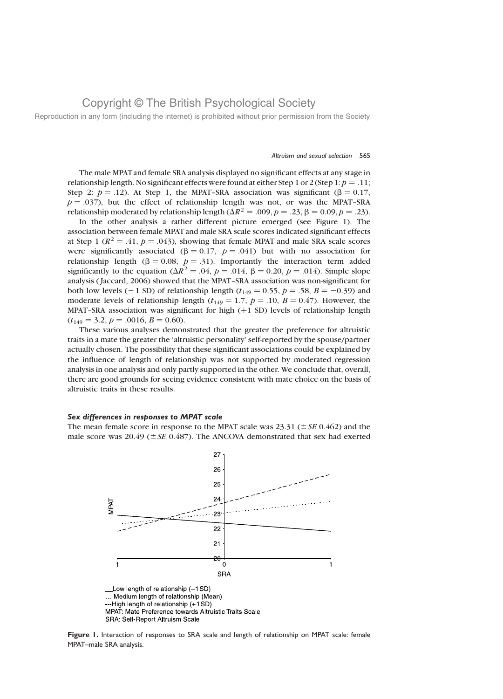Reproduction in any form (including the internet) is prohibited without prior permission from the Society

#### Altruism and sexual selection 565

The male MPAT and female SRA analysis displayed no significant effects at any stage in relationship length. No significant effects were found at either Step 1 or 2 (Step 1:  $p = .11$ ; Step 2:  $p = .12$ ). At Step 1, the MPAT–SRA association was significant ( $\beta = 0.17$ ,  $p = .037$ , but the effect of relationship length was not, or was the MPAT–SRA relationship moderated by relationship length ( $\Delta R^2 = .009$ ,  $p = .23$ ,  $\beta = 0.09$ ,  $p = .23$ ).

In the other analysis a rather different picture emerged (see Figure 1). The association between female MPAT and male SRA scale scores indicated significant effects at Step 1 ( $R^2 = .41$ ,  $p = .043$ ), showing that female MPAT and male SRA scale scores were significantly associated ( $\beta = 0.17$ ,  $p = .041$ ) but with no association for relationship length ( $\beta = 0.08$ ,  $p = .31$ ). Importantly the interaction term added significantly to the equation ( $\Delta R^2 = .04$ ,  $p = .014$ ,  $\beta = 0.20$ ,  $p = .014$ ). Simple slope analysis ( Jaccard, 2006) showed that the MPAT–SRA association was non-significant for both low levels (-1 SD) of relationship length ( $t_{149} = 0.55$ ,  $p = .58$ ,  $B = -0.39$ ) and moderate levels of relationship length ( $t_{149} = 1.7$ ,  $p = .10$ ,  $B = 0.47$ ). However, the MPAT-SRA association was significant for high (+1 SD) levels of relationship length  $(t_{149} = 3.2, p = .0016, B = 0.60).$ 

These various analyses demonstrated that the greater the preference for altruistic traits in a mate the greater the 'altruistic personality' self-reported by the spouse/partner actually chosen. The possibility that these significant associations could be explained by the influence of length of relationship was not supported by moderated regression analysis in one analysis and only partly supported in the other. We conclude that, overall, there are good grounds for seeing evidence consistent with mate choice on the basis of altruistic traits in these results.

#### Sex differences in responses to MPAT scale

The mean female score in response to the MPAT scale was 23.31 ( $\pm$  SE 0.462) and the male score was 20.49 ( $\pm$  SE 0.487). The ANCOVA demonstrated that sex had exerted



Figure 1. Interaction of responses to SRA scale and length of relationship on MPAT scale: female MPAT–male SRA analysis.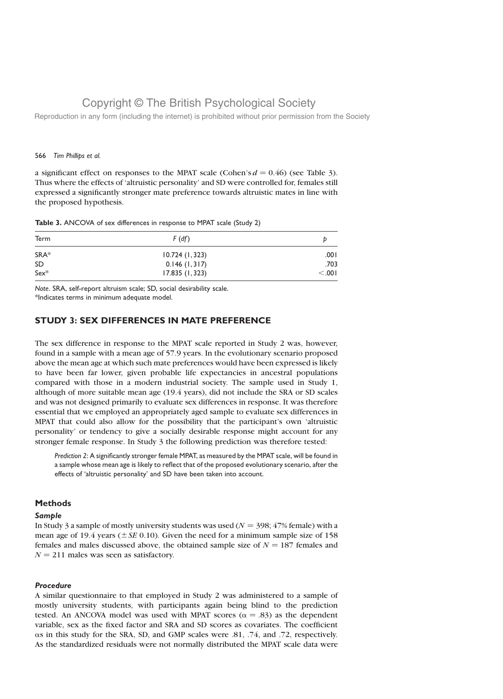Reproduction in any form (including the internet) is prohibited without prior permission from the Society

### 566 Tim Phillips et al.

a significant effect on responses to the MPAT scale (Cohen's  $d = 0.46$ ) (see Table 3). Thus where the effects of 'altruistic personality' and SD were controlled for, females still expressed a significantly stronger mate preference towards altruistic mates in line with the proposed hypothesis.

|  |  |  |  |  |  | Table 3. ANCOVA of sex differences in response to MPAT scale (Study 2) |  |  |  |  |  |
|--|--|--|--|--|--|------------------------------------------------------------------------|--|--|--|--|--|
|--|--|--|--|--|--|------------------------------------------------------------------------|--|--|--|--|--|

| Term      | F(df)          |         |  |
|-----------|----------------|---------|--|
| SRA*      | 10.724(1, 323) | 100.    |  |
| <b>SD</b> | 0.146(1,317)   | .703    |  |
| $Sex*$    | 17.835 (1,323) | < 0.001 |  |

Note. SRA, self-report altruism scale; SD, social desirability scale. \*Indicates terms in minimum adequate model.

## STUDY 3: SEX DIFFERENCES IN MATE PREFERENCE

The sex difference in response to the MPAT scale reported in Study 2 was, however, found in a sample with a mean age of 57.9 years. In the evolutionary scenario proposed above the mean age at which such mate preferences would have been expressed is likely to have been far lower, given probable life expectancies in ancestral populations compared with those in a modern industrial society. The sample used in Study 1, although of more suitable mean age (19.4 years), did not include the SRA or SD scales and was not designed primarily to evaluate sex differences in response. It was therefore essential that we employed an appropriately aged sample to evaluate sex differences in MPAT that could also allow for the possibility that the participant's own 'altruistic personality' or tendency to give a socially desirable response might account for any stronger female response. In Study 3 the following prediction was therefore tested:

Prediction 2: A significantly stronger female MPAT, as measured by the MPAT scale, will be found in a sample whose mean age is likely to reflect that of the proposed evolutionary scenario, after the effects of 'altruistic personality' and SD have been taken into account.

### **Methods**

### Sample

In Study 3 a sample of mostly university students was used ( $N = 398$ ; 47% female) with a mean age of 19.4 years ( $\pm$  SE 0.10). Given the need for a minimum sample size of 158 females and males discussed above, the obtained sample size of  $N = 187$  females and  $N = 211$  males was seen as satisfactory.

### Procedure

A similar questionnaire to that employed in Study 2 was administered to a sample of mostly university students, with participants again being blind to the prediction tested. An ANCOVA model was used with MPAT scores ( $\alpha = .83$ ) as the dependent variable, sex as the fixed factor and SRA and SD scores as covariates. The coefficient as in this study for the SRA, SD, and GMP scales were .81, .74, and .72, respectively. As the standardized residuals were not normally distributed the MPAT scale data were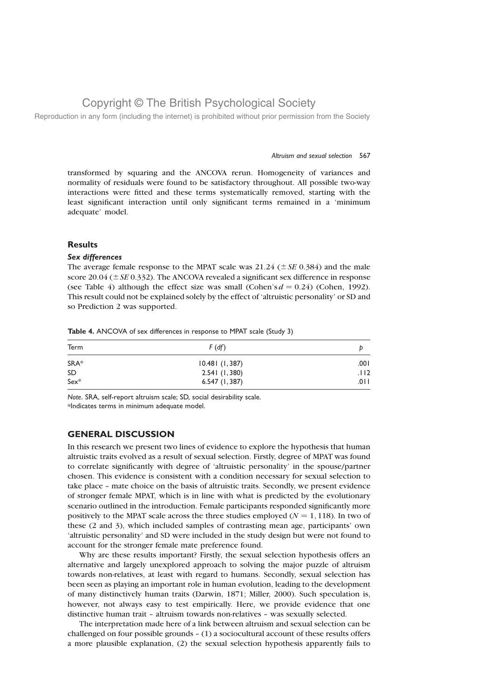Reproduction in any form (including the internet) is prohibited without prior permission from the Society

#### Altruism and sexual selection 567

transformed by squaring and the ANCOVA rerun. Homogeneity of variances and normality of residuals were found to be satisfactory throughout. All possible two-way interactions were fitted and these terms systematically removed, starting with the least significant interaction until only significant terms remained in a 'minimum adequate' model.

### **Results**

### Sex differences

The average female response to the MPAT scale was  $21.24 (\pm SE 0.384)$  and the male score 20.04 ( $\pm$  SE 0.332). The ANCOVA revealed a significant sex difference in response (see Table 4) although the effect size was small (Cohen's  $d = 0.24$ ) (Cohen, 1992). This result could not be explained solely by the effect of 'altruistic personality' or SD and so Prediction 2 was supported.

| Term      | F(df)          |        |  |
|-----------|----------------|--------|--|
| SRA*      | 10.481(1, 387) | .001   |  |
| <b>SD</b> | 2.541(1,380)   | .112   |  |
| $Sex^*$   | 6.547(1, 387)  | .0 I I |  |

Table 4. ANCOVA of sex differences in response to MPAT scale (Study 3)

Note. SRA, self-report altruism scale; SD, social desirability scale. \*Indicates terms in minimum adequate model.

## GENERAL DISCUSSION

In this research we present two lines of evidence to explore the hypothesis that human altruistic traits evolved as a result of sexual selection. Firstly, degree of MPAT was found to correlate significantly with degree of 'altruistic personality' in the spouse/partner chosen. This evidence is consistent with a condition necessary for sexual selection to take place – mate choice on the basis of altruistic traits. Secondly, we present evidence of stronger female MPAT, which is in line with what is predicted by the evolutionary scenario outlined in the introduction. Female participants responded significantly more positively to the MPAT scale across the three studies employed ( $N = 1, 118$ ). In two of these (2 and 3), which included samples of contrasting mean age, participants' own 'altruistic personality' and SD were included in the study design but were not found to account for the stronger female mate preference found.

Why are these results important? Firstly, the sexual selection hypothesis offers an alternative and largely unexplored approach to solving the major puzzle of altruism towards non-relatives, at least with regard to humans. Secondly, sexual selection has been seen as playing an important role in human evolution, leading to the development of many distinctively human traits (Darwin, 1871; Miller, 2000). Such speculation is, however, not always easy to test empirically. Here, we provide evidence that one distinctive human trait – altruism towards non-relatives – was sexually selected.

The interpretation made here of a link between altruism and sexual selection can be challenged on four possible grounds – (1) a sociocultural account of these results offers a more plausible explanation, (2) the sexual selection hypothesis apparently fails to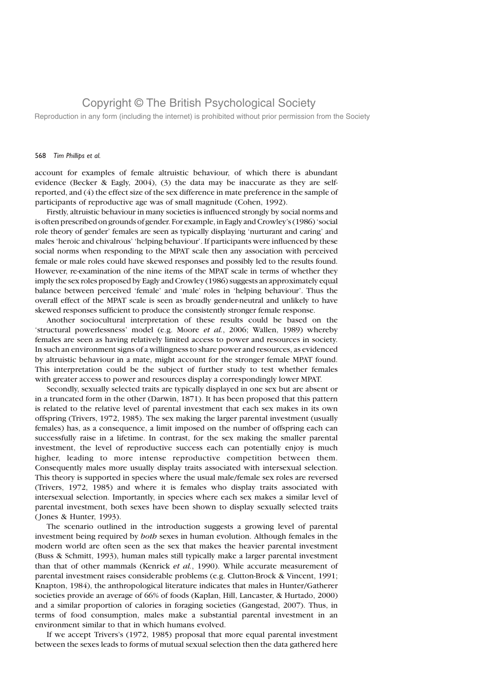Reproduction in any form (including the internet) is prohibited without prior permission from the Society

### 568 Tim Phillips et al.

account for examples of female altruistic behaviour, of which there is abundant evidence (Becker & Eagly, 2004), (3) the data may be inaccurate as they are selfreported, and (4) the effect size of the sex difference in mate preference in the sample of participants of reproductive age was of small magnitude (Cohen, 1992).

Firstly, altruistic behaviour in many societies is influenced strongly by social norms and is often prescribed on grounds of gender. For example, in Eagly and Crowley's (1986) 'social role theory of gender' females are seen as typically displaying 'nurturant and caring' and males 'heroic and chivalrous' 'helping behaviour'. If participants were influenced by these social norms when responding to the MPAT scale then any association with perceived female or male roles could have skewed responses and possibly led to the results found. However, re-examination of the nine items of the MPAT scale in terms of whether they imply the sex roles proposed by Eagly and Crowley (1986) suggests an approximately equal balance between perceived 'female' and 'male' roles in 'helping behaviour'. Thus the overall effect of the MPAT scale is seen as broadly gender-neutral and unlikely to have skewed responses sufficient to produce the consistently stronger female response.

Another sociocultural interpretation of these results could be based on the 'structural powerlessness' model (e.g. Moore et al., 2006; Wallen, 1989) whereby females are seen as having relatively limited access to power and resources in society. In such an environment signs of a willingness to share power and resources, as evidenced by altruistic behaviour in a mate, might account for the stronger female MPAT found. This interpretation could be the subject of further study to test whether females with greater access to power and resources display a correspondingly lower MPAT.

Secondly, sexually selected traits are typically displayed in one sex but are absent or in a truncated form in the other (Darwin, 1871). It has been proposed that this pattern is related to the relative level of parental investment that each sex makes in its own offspring (Trivers, 1972, 1985). The sex making the larger parental investment (usually females) has, as a consequence, a limit imposed on the number of offspring each can successfully raise in a lifetime. In contrast, for the sex making the smaller parental investment, the level of reproductive success each can potentially enjoy is much higher, leading to more intense reproductive competition between them. Consequently males more usually display traits associated with intersexual selection. This theory is supported in species where the usual male/female sex roles are reversed (Trivers, 1972, 1985) and where it is females who display traits associated with intersexual selection. Importantly, in species where each sex makes a similar level of parental investment, both sexes have been shown to display sexually selected traits ( Jones & Hunter, 1993).

The scenario outlined in the introduction suggests a growing level of parental investment being required by both sexes in human evolution. Although females in the modern world are often seen as the sex that makes the heavier parental investment (Buss & Schmitt, 1993), human males still typically make a larger parental investment than that of other mammals (Kenrick et al., 1990). While accurate measurement of parental investment raises considerable problems (e.g. Clutton-Brock & Vincent, 1991; Knapton, 1984), the anthropological literature indicates that males in Hunter/Gatherer societies provide an average of 66% of foods (Kaplan, Hill, Lancaster, & Hurtado, 2000) and a similar proportion of calories in foraging societies (Gangestad, 2007). Thus, in terms of food consumption, males make a substantial parental investment in an environment similar to that in which humans evolved.

If we accept Trivers's (1972, 1985) proposal that more equal parental investment between the sexes leads to forms of mutual sexual selection then the data gathered here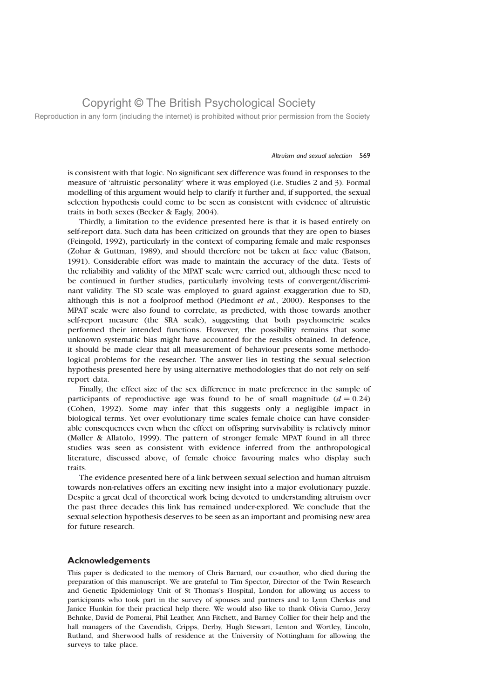Reproduction in any form (including the internet) is prohibited without prior permission from the Society

#### Altruism and sexual selection 569

is consistent with that logic. No significant sex difference was found in responses to the measure of 'altruistic personality' where it was employed (i.e. Studies 2 and 3). Formal modelling of this argument would help to clarify it further and, if supported, the sexual selection hypothesis could come to be seen as consistent with evidence of altruistic traits in both sexes (Becker & Eagly, 2004).

Thirdly, a limitation to the evidence presented here is that it is based entirely on self-report data. Such data has been criticized on grounds that they are open to biases (Feingold, 1992), particularly in the context of comparing female and male responses (Zohar & Guttman, 1989), and should therefore not be taken at face value (Batson, 1991). Considerable effort was made to maintain the accuracy of the data. Tests of the reliability and validity of the MPAT scale were carried out, although these need to be continued in further studies, particularly involving tests of convergent/discriminant validity. The SD scale was employed to guard against exaggeration due to SD, although this is not a foolproof method (Piedmont *et al.*, 2000). Responses to the MPAT scale were also found to correlate, as predicted, with those towards another self-report measure (the SRA scale), suggesting that both psychometric scales performed their intended functions. However, the possibility remains that some unknown systematic bias might have accounted for the results obtained. In defence, it should be made clear that all measurement of behaviour presents some methodological problems for the researcher. The answer lies in testing the sexual selection hypothesis presented here by using alternative methodologies that do not rely on selfreport data.

Finally, the effect size of the sex difference in mate preference in the sample of participants of reproductive age was found to be of small magnitude  $(d = 0.24)$ (Cohen, 1992). Some may infer that this suggests only a negligible impact in biological terms. Yet over evolutionary time scales female choice can have considerable consequences even when the effect on offspring survivability is relatively minor (Møller & Allatolo, 1999). The pattern of stronger female MPAT found in all three studies was seen as consistent with evidence inferred from the anthropological literature, discussed above, of female choice favouring males who display such traits.

The evidence presented here of a link between sexual selection and human altruism towards non-relatives offers an exciting new insight into a major evolutionary puzzle. Despite a great deal of theoretical work being devoted to understanding altruism over the past three decades this link has remained under-explored. We conclude that the sexual selection hypothesis deserves to be seen as an important and promising new area for future research.

### Acknowledgements

This paper is dedicated to the memory of Chris Barnard, our co-author, who died during the preparation of this manuscript. We are grateful to Tim Spector, Director of the Twin Research and Genetic Epidemiology Unit of St Thomas's Hospital, London for allowing us access to participants who took part in the survey of spouses and partners and to Lynn Cherkas and Janice Hunkin for their practical help there. We would also like to thank Olivia Curno, Jerzy Behnke, David de Pomerai, Phil Leather, Ann Fitchett, and Barney Collier for their help and the hall managers of the Cavendish, Cripps, Derby, Hugh Stewart, Lenton and Wortley, Lincoln, Rutland, and Sherwood halls of residence at the University of Nottingham for allowing the surveys to take place.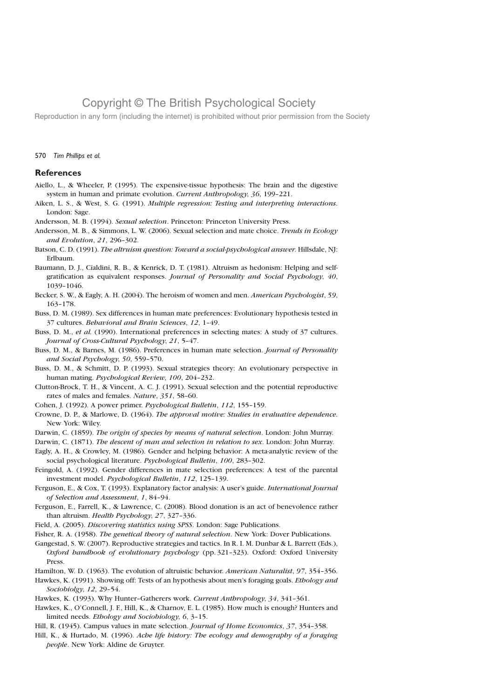Reproduction in any form (including the internet) is prohibited without prior permission from the Society

#### 570 Tim Phillips et al.

### **References**

- Aiello, L., & Wheeler, P. (1995). The expensive-tissue hypothesis: The brain and the digestive system in human and primate evolution. Current Anthropology, 36, 199–221.
- Aiken, L. S., & West, S. G. (1991). Multiple regression: Testing and interpreting interactions. London: Sage.
- Andersson, M. B. (1994). Sexual selection. Princeton: Princeton University Press.
- Andersson, M. B., & Simmons, L. W. (2006). Sexual selection and mate choice. Trends in Ecology and Evolution, 21, 296–302.
- Batson, C. D. (1991). The altruism question: Toward a social-psychological answer. Hillsdale, NJ: Erlbaum.
- Baumann, D. J., Cialdini, R. B., & Kenrick, D. T. (1981). Altruism as hedonism: Helping and selfgratification as equivalent responses. Journal of Personality and Social Psychology, 40, 1039–1046.
- Becker, S. W., & Eagly, A. H. (2004). The heroism of women and men. American Psychologist, 59, 163–178.
- Buss, D. M. (1989). Sex differences in human mate preferences: Evolutionary hypothesis tested in 37 cultures. Behavioral and Brain Sciences, 12, 1–49.
- Buss, D. M., et al. (1990). International preferences in selecting mates: A study of 37 cultures. Journal of Cross-Cultural Psychology, 21, 5–47.
- Buss, D. M., & Barnes, M. (1986). Preferences in human mate selection. Journal of Personality and Social Psychology, 50, 559–570.
- Buss, D. M., & Schmitt, D. P. (1993). Sexual strategies theory: An evolutionary perspective in human mating. Psychological Review, 100, 204–232.
- Clutton-Brock, T. H., & Vincent, A. C. J. (1991). Sexual selection and the potential reproductive rates of males and females. Nature, 351, 58–60.
- Cohen, J. (1992). A power primer. Psychological Bulletin, 112, 155–159.
- Crowne, D. P., & Marlowe, D. (1964). The approval motive: Studies in evaluative dependence. New York: Wiley.
- Darwin, C. (1859). The origin of species by means of natural selection. London: John Murray.
- Darwin, C. (1871). The descent of man and selection in relation to sex. London: John Murray.
- Eagly, A. H., & Crowley, M. (1986). Gender and helping behavior: A meta-analytic review of the social psychological literature. Psychological Bulletin, 100, 283-302.
- Feingold, A. (1992). Gender differences in mate selection preferences: A test of the parental investment model. Psychological Bulletin, 112, 125–139.
- Ferguson, E., & Cox, T. (1993). Explanatory factor analysis: A user's guide. International Journal of Selection and Assessment, 1, 84–94.
- Ferguson, E., Farrell, K., & Lawrence, C. (2008). Blood donation is an act of benevolence rather than altruism. Health Psychology, 27, 327–336.
- Field, A. (2005). Discovering statistics using SPSS. London: Sage Publications.
- Fisher, R. A. (1958). The genetical theory of natural selection. New York: Dover Publications.
- Gangestad, S. W. (2007). Reproductive strategies and tactics. In R. I. M. Dunbar & L. Barrett (Eds.), Oxford handbook of evolutionary psychology (pp. 321–323). Oxford: Oxford University Press.
- Hamilton, W. D. (1963). The evolution of altruistic behavior. American Naturalist, 97, 354–356.
- Hawkes, K. (1991). Showing off: Tests of an hypothesis about men's foraging goals. Ethology and Sociobiolgy, 12, 29–54.
- Hawkes, K. (1993). Why Hunter–Gatherers work. Current Anthropology, 34, 341–361.
- Hawkes, K., O'Connell, J. F., Hill, K., & Charnov, E. L. (1985). How much is enough? Hunters and limited needs. Ethology and Sociobiology, 6, 3–15.
- Hill, R. (1945). Campus values in mate selection. Journal of Home Economics, 37, 354–358.
- Hill, K., & Hurtado, M. (1996). Ache life history: The ecology and demography of a foraging people. New York: Aldine de Gruyter.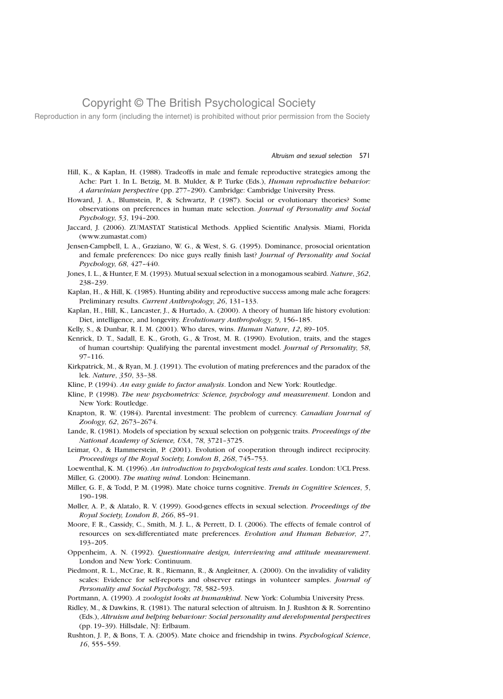Reproduction in any form (including the internet) is prohibited without prior permission from the Society

#### Altruism and sexual selection 571

- Hill, K., & Kaplan, H. (1988). Tradeoffs in male and female reproductive strategies among the Ache: Part 1. In L. Betzig, M. B. Mulder, & P. Turke (Eds.), *Human reproductive behavior:* A darwinian perspective (pp. 277–290). Cambridge: Cambridge University Press.
- Howard, J. A., Blumstein, P., & Schwartz, P. (1987). Social or evolutionary theories? Some observations on preferences in human mate selection. Journal of Personality and Social Psychology, 53, 194–200.
- Jaccard, J. (2006). ZUMASTAT Statistical Methods. Applied Scientific Analysis. Miami, Florida (www.zumastat.com)
- Jensen-Campbell, L. A., Graziano, W. G., & West, S. G. (1995). Dominance, prosocial orientation and female preferences: Do nice guys really finish last? Journal of Personality and Social Psychology, 68, 427–440.
- Jones, I. L., & Hunter, F. M. (1993). Mutual sexual selection in a monogamous seabird. Nature, 362, 238–239.
- Kaplan, H., & Hill, K. (1985). Hunting ability and reproductive success among male ache foragers: Preliminary results. Current Anthropology, 26, 131–133.
- Kaplan, H., Hill, K., Lancaster, J., & Hurtado, A. (2000). A theory of human life history evolution: Diet, intelligence, and longevity. Evolutionary Anthropology, 9, 156–185.
- Kelly, S., & Dunbar, R. I. M. (2001). Who dares, wins. Human Nature, 12, 89–105.
- Kenrick, D. T., Sadall, E. K., Groth, G., & Trost, M. R. (1990). Evolution, traits, and the stages of human courtship: Qualifying the parental investment model. Journal of Personality, 58, 97–116.
- Kirkpatrick, M., & Ryan, M. J. (1991). The evolution of mating preferences and the paradox of the lek. Nature, 350, 33–38.
- Kline, P. (1994). An easy guide to factor analysis. London and New York: Routledge.
- Kline, P. (1998). The new psychometrics: Science, psychology and measurement. London and New York: Routledge.
- Knapton, R. W. (1984). Parental investment: The problem of currency. Canadian Journal of Zoology, 62, 2673–2674.
- Lande, R. (1981). Models of speciation by sexual selection on polygenic traits. Proceedings of the National Academy of Science, USA, 78, 3721–3725.
- Leimar, O., & Hammerstein, P. (2001). Evolution of cooperation through indirect reciprocity. Proceedings of the Royal Society, London B, 268, 745–753.

Loewenthal, K. M. (1996). An introduction to psychological tests and scales. London: UCL Press. Miller, G. (2000). The mating mind. London: Heinemann.

- Miller, G. F., & Todd, P. M. (1998). Mate choice turns cognitive. Trends in Cognitive Sciences, 5, 190–198.
- Møller, A. P., & Alatalo, R. V. (1999). Good-genes effects in sexual selection. Proceedings of the Royal Society, London B, 266, 85–91.
- Moore, F. R., Cassidy, C., Smith, M. J. L., & Perrett, D. I. (2006). The effects of female control of resources on sex-differentiated mate preferences. Evolution and Human Behavior, 27, 193–205.
- Oppenheim, A. N. (1992). Questionnaire design, interviewing and attitude measurement. London and New York: Continuum.
- Piedmont, R. L., McCrae, R. R., Riemann, R., & Angleitner, A. (2000). On the invalidity of validity scales: Evidence for self-reports and observer ratings in volunteer samples. Journal of Personality and Social Psychology, 78, 582–593.
- Portmann, A. (1990). A zoologist looks at humankind. New York: Columbia University Press.
- Ridley, M., & Dawkins, R. (1981). The natural selection of altruism. In J. Rushton & R. Sorrentino (Eds.), Altruism and helping behaviour: Social personality and developmental perspectives (pp. 19–39). Hillsdale, NJ: Erlbaum.
- Rushton, J. P., & Bons, T. A. (2005). Mate choice and friendship in twins. Psychological Science, 16, 555–559.